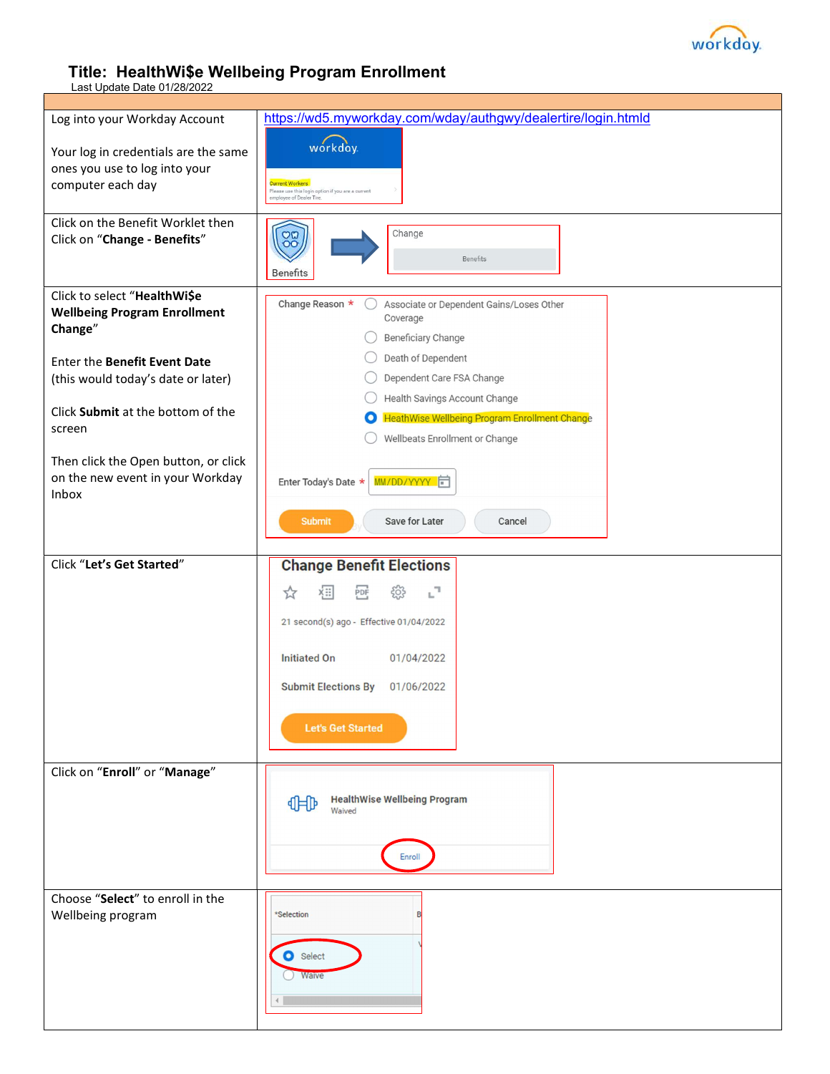

## Title: HealthWi\$e Wellbeing Program Enrollment

Last Update Date 01/28/2022

| Log into your Workday Account                                     | https://wd5.myworkday.com/wday/authgwy/dealertire/login.htmld                                           |
|-------------------------------------------------------------------|---------------------------------------------------------------------------------------------------------|
| Your log in credentials are the same                              | workday                                                                                                 |
| ones you use to log into your                                     |                                                                                                         |
| computer each day                                                 | <b>Current Workers</b><br>Please use this login option if you are a current<br>employee of Dealer Tire. |
|                                                                   |                                                                                                         |
| Click on the Benefit Worklet then<br>Click on "Change - Benefits" | Change<br>$\frac{80}{100}$                                                                              |
|                                                                   | Benefits                                                                                                |
|                                                                   | Benefits                                                                                                |
| Click to select "HealthWi\$e                                      | Change Reason *<br>Associate or Dependent Gains/Loses Other                                             |
| <b>Wellbeing Program Enrollment</b><br>Change"                    | Coverage                                                                                                |
|                                                                   | <b>Beneficiary Change</b>                                                                               |
| Enter the Benefit Event Date                                      | Death of Dependent                                                                                      |
| (this would today's date or later)                                | Dependent Care FSA Change                                                                               |
| Click Submit at the bottom of the                                 | Health Savings Account Change<br><b>HeathWise Wellbeing Program Enrollment Change</b><br>$\bf{O}$       |
| screen                                                            | Wellbeats Enrollment or Change                                                                          |
| Then click the Open button, or click                              |                                                                                                         |
| on the new event in your Workday                                  | MM/DD/YYYY<br>Enter Today's Date *                                                                      |
| Inbox                                                             |                                                                                                         |
|                                                                   | <b>Submit</b><br>Save for Later<br>Cancel                                                               |
|                                                                   |                                                                                                         |
| Click "Let's Get Started"                                         | <b>Change Benefit Elections</b>                                                                         |
|                                                                   | ۳,<br>ķ⊞∣<br>大<br>PDF                                                                                   |
|                                                                   |                                                                                                         |
|                                                                   | 21 second(s) ago - Effective 01/04/2022                                                                 |
|                                                                   | <b>Initiated On</b><br>01/04/2022                                                                       |
|                                                                   | <b>Submit Elections By</b><br>01/06/2022                                                                |
|                                                                   |                                                                                                         |
|                                                                   | <b>Let's Get Started</b>                                                                                |
|                                                                   |                                                                                                         |
| Click on "Enroll" or "Manage"                                     |                                                                                                         |
|                                                                   | <b>HealthWise Wellbeing Program</b><br>明                                                                |
|                                                                   | Waived                                                                                                  |
|                                                                   |                                                                                                         |
|                                                                   | Enroll                                                                                                  |
|                                                                   |                                                                                                         |
| Choose "Select" to enroll in the<br>Wellbeing program             | *Selection                                                                                              |
|                                                                   |                                                                                                         |
|                                                                   | Select                                                                                                  |
|                                                                   | Waive                                                                                                   |
|                                                                   |                                                                                                         |
|                                                                   |                                                                                                         |